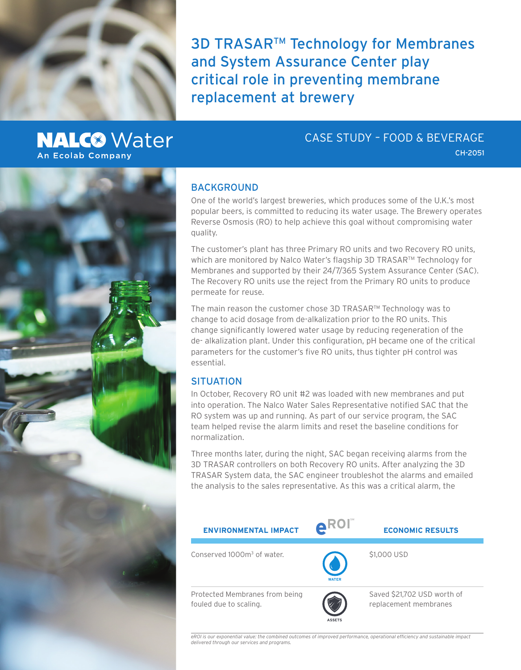

**3D TRASAR<sup>™</sup> Technology for Membranes** and System Assurance Center play critical role in preventing membrane replacement at brewery

# **NALC<sup>®</sup>** Water **An Ecolab Company**

## CASE STUDY – FOOD & BEVERAGE

CH-2051



### BACKGROUND

One of the world's largest breweries, which produces some of the U.K.'s most popular beers, is committed to reducing its water usage. The Brewery operates Reverse Osmosis (RO) to help achieve this goal without compromising water quality.

The customer's plant has three Primary RO units and two Recovery RO units, which are monitored by Nalco Water's flagship 3D TRASAR™ Technology for Membranes and supported by their 24/7/365 System Assurance Center (SAC). The Recovery RO units use the reject from the Primary RO units to produce permeate for reuse.

The main reason the customer chose 3D TRASAR™ Technology was to change to acid dosage from de-alkalization prior to the RO units. This change significantly lowered water usage by reducing regeneration of the de- alkalization plant. Under this configuration, pH became one of the critical parameters for the customer's five RO units, thus tighter pH control was essential.

### **SITUATION**

In October, Recovery RO unit #2 was loaded with new membranes and put into operation. The Nalco Water Sales Representative notified SAC that the RO system was up and running. As part of our service program, the SAC team helped revise the alarm limits and reset the baseline conditions for normalization.

Three months later, during the night, SAC began receiving alarms from the 3D TRASAR controllers on both Recovery RO units. After analyzing the 3D TRASAR System data, the SAC engineer troubleshot the alarms and emailed the analysis to the sales representative. As this was a critical alarm, the



*eROI is our exponential value: the combined outcomes of improved performance, operational efficiency and sustainable impact delivered through our services and programs.*